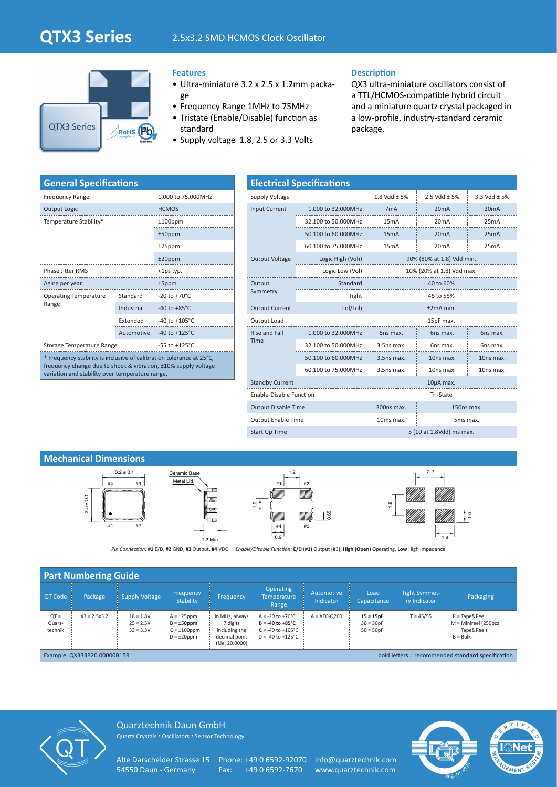## **QTX3 Series** 2.5x3.2 SMD HCMOS Clock Oscillator



## **Features**

- Ultra-miniature 3.2 x 2.5 x 1.2mm package
- Frequency Range 1MHz to 75MHz
- Tristate (Enable/Disable) function as standard
- Supply voltage 1.8, 2.5 or 3.3 Volts

## **Description**

QX3 ultra-miniature oscillators consist of a TTL/HCMOS-compatible hybrid circuit and a miniature quartz crystal packaged in a low-profile, industry-standard ceramic package.

| <b>General Specifications</b>                                                                                                                                                             |                           |                           |  |  |  |  |  |
|-------------------------------------------------------------------------------------------------------------------------------------------------------------------------------------------|---------------------------|---------------------------|--|--|--|--|--|
| <b>Frequency Range</b>                                                                                                                                                                    | 1.000 to 75.000MHz        |                           |  |  |  |  |  |
| <b>Output Logic</b>                                                                                                                                                                       | <b>HCMOS</b>              |                           |  |  |  |  |  |
| Temperature Stability*                                                                                                                                                                    | $±100$ ppm                |                           |  |  |  |  |  |
|                                                                                                                                                                                           | $±50$ ppm                 |                           |  |  |  |  |  |
|                                                                                                                                                                                           | $±25$ ppm                 |                           |  |  |  |  |  |
|                                                                                                                                                                                           | $±20$ ppm                 |                           |  |  |  |  |  |
| <b>Phase Jitter RMS</b>                                                                                                                                                                   | $<$ 1ps typ.              |                           |  |  |  |  |  |
| Aging per year                                                                                                                                                                            | $±5$ ppm                  |                           |  |  |  |  |  |
| <b>Operating Temperature</b>                                                                                                                                                              | Standard                  | $-20$ to $+70^{\circ}$ C  |  |  |  |  |  |
| Range                                                                                                                                                                                     | Industrial                | $-40$ to $+85^{\circ}$ C  |  |  |  |  |  |
|                                                                                                                                                                                           | Extended                  | $-40$ to $+105^{\circ}$ C |  |  |  |  |  |
|                                                                                                                                                                                           | Automotive                | $-40$ to $+125^{\circ}$ C |  |  |  |  |  |
| Storage Temperature Range                                                                                                                                                                 | $-55$ to $+125^{\circ}$ C |                           |  |  |  |  |  |
| * Frequency stability is inclusive of calibration tolerance at 25°C,<br>frequency change due to shock & vibration, ±10% supply voltage<br>variation and stability over temperature range. |                           |                           |  |  |  |  |  |

| <b>Electrical Specifications</b> |                     |                                   |                           |              |  |  |  |  |  |
|----------------------------------|---------------------|-----------------------------------|---------------------------|--------------|--|--|--|--|--|
| Supply Voltage                   |                     | 1.8 Vdd $\pm$ 5%                  | 2.5 Vdd $\pm$ 5%          | 3.3 Vdd ± 5% |  |  |  |  |  |
| <b>Input Current</b>             | 1.000 to 32.000MHz  | 7 <sub>m</sub> A                  | 20mA                      | 20mA         |  |  |  |  |  |
|                                  | 32.100 to 50.000MHz | 15mA                              | 20mA                      | 25mA         |  |  |  |  |  |
|                                  | 50.100 to 60.000MHz | 15mA                              | 20mA                      | 25mA         |  |  |  |  |  |
|                                  | 60.100 to 75.000MHz | 15 <sub>m</sub> A                 | 20mA                      | 25mA         |  |  |  |  |  |
| <b>Output Voltage</b>            | Logic High (Voh)    | 90% (80% at 1.8) Vdd min.         |                           |              |  |  |  |  |  |
|                                  | Logic Low (Vol)     |                                   | 10% (20% at 1.8) Vdd max. |              |  |  |  |  |  |
| Output                           | Standard            | 40 to 60%                         |                           |              |  |  |  |  |  |
| Symmetry                         | Tight               | 45 to 55%                         |                           |              |  |  |  |  |  |
| <b>Output Current</b>            | Lol/Loh             | $±2mA$ min.                       |                           |              |  |  |  |  |  |
| Output Load                      |                     | 15pF max.                         |                           |              |  |  |  |  |  |
| <b>Rise and Fall</b>             | 1.000 to 32.000MHz  | 5ns max.                          | 6ns max.                  | 6ns max.     |  |  |  |  |  |
| Time                             | 32.100 to 50.000MHz | $3.5$ ns max.                     | 6ns max.                  | 6ns max.     |  |  |  |  |  |
|                                  | 50.100 to 60.000MHz | $3.5$ ns max.                     | 10ns max.                 | 10ns max.    |  |  |  |  |  |
|                                  | 60.100 to 75.000MHz | $3.5$ ns max.                     | 10ns max.                 | 10ns max.    |  |  |  |  |  |
| <b>Standby Current</b>           |                     | 10µA max.                         |                           |              |  |  |  |  |  |
| Enable-Disable Function          |                     | Tri-State                         |                           |              |  |  |  |  |  |
| <b>Output Disable Time</b>       |                     | 300ns max.<br>150ns max.          |                           |              |  |  |  |  |  |
| <b>Output Enable Time</b>        |                     | 10ms max.<br>5 <sub>ms</sub> max. |                           |              |  |  |  |  |  |
| <b>Start Up Time</b>             |                     | 5 (10 at 1.8Vdd) ms max.          |                           |              |  |  |  |  |  |



| <b>Part Numbering Guide</b>                                                      |                |                                           |                                                                               |                                                                                 |                                                                                                                              |                         |                                           |                                      |                                                                               |  |
|----------------------------------------------------------------------------------|----------------|-------------------------------------------|-------------------------------------------------------------------------------|---------------------------------------------------------------------------------|------------------------------------------------------------------------------------------------------------------------------|-------------------------|-------------------------------------------|--------------------------------------|-------------------------------------------------------------------------------|--|
| <b>QT Code</b>                                                                   | Package        | <b>Supply Voltage</b>                     | <b>Frequency</b><br>Stability                                                 | Frequency                                                                       | <b>Operating</b><br><b>Temperature</b><br>Range                                                                              | Automotive<br>Indicator | Load<br>Capacitance                       | <b>Tight Symmet-</b><br>ry Indicator | Packaging                                                                     |  |
| $QT =$<br>Quarz-<br>technik                                                      | $X3 = 2.5x3.2$ | $18 = 1.8V$<br>$25 = 2.5V$<br>$33 = 3.3V$ | $A = \pm 25$ ppm<br>$B = \pm 50$ ppm<br>$C = \pm 100$ ppm<br>$D = \pm 20$ ppm | in MHz, always<br>7 digits<br>including the<br>decimal point<br>(f.ie. 20.0000) | $A = -20$ to $+70^{\circ}$ C<br>$B = -40$ to $+85^{\circ}$ C<br>$C = -40$ to $+105^{\circ}C$<br>$D = -40$ to $+125^{\circ}C$ | $A = AEC-O200$          | $15 = 15pF$<br>$30 = 30pF$<br>$50 = 50pF$ | $T = 45/55$                          | $R = \text{Trace}$ Reel<br>$M =$ Minireel (250pcs<br>Tape&Reel)<br>$B = Bulk$ |  |
| bold letters = recommended standard specification<br>Example: QX333B20.00000B15R |                |                                           |                                                                               |                                                                                 |                                                                                                                              |                         |                                           |                                      |                                                                               |  |



Quarztechnik Daun GmbH Quartz Crystals • Oscillators • Sensor Technology

Alte Darscheider Strasse 15 Phone: +49 0 6592-92070 info@quarztechnik.com<br>54550 Daun · Germany Fax: +49 0 6592-7670 www.quarztechnik.com

Fax: +49 0 6592-7670 www.quarztechnik.com